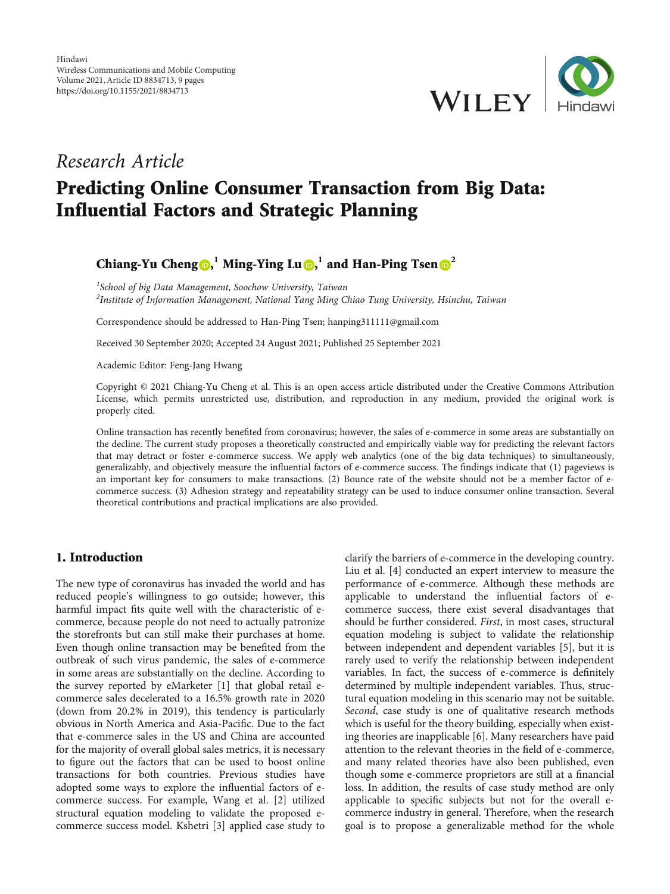

## Research Article

# Predicting Online Consumer Transaction from Big Data: Influential Factors and Strategic Planning

### Chiang-Yu Cheng  $\mathbf{D}, \mathbf{1}$  $\mathbf{D}, \mathbf{1}$  $\mathbf{D}, \mathbf{1}$  Ming-Ying Lu  $\mathbf{D}, \mathbf{1}$  and Han-Ping Tsen  $\mathbf{D}^2$  $\mathbf{D}^2$

<sup>1</sup>School of big Data Management, Soochow University, Taiwan  $^2$ Institute of Information Management, National Yang Ming Chiao Tung University, Hsinchu, Taiwan

Correspondence should be addressed to Han-Ping Tsen; hanping311111@gmail.com

Received 30 September 2020; Accepted 24 August 2021; Published 25 September 2021

Academic Editor: Feng-Jang Hwang

Copyright © 2021 Chiang-Yu Cheng et al. This is an open access article distributed under the [Creative Commons Attribution](https://creativecommons.org/licenses/by/4.0/) [License,](https://creativecommons.org/licenses/by/4.0/) which permits unrestricted use, distribution, and reproduction in any medium, provided the original work is properly cited.

Online transaction has recently benefited from coronavirus; however, the sales of e-commerce in some areas are substantially on the decline. The current study proposes a theoretically constructed and empirically viable way for predicting the relevant factors that may detract or foster e-commerce success. We apply web analytics (one of the big data techniques) to simultaneously, generalizably, and objectively measure the influential factors of e-commerce success. The findings indicate that (1) pageviews is an important key for consumers to make transactions. (2) Bounce rate of the website should not be a member factor of ecommerce success. (3) Adhesion strategy and repeatability strategy can be used to induce consumer online transaction. Several theoretical contributions and practical implications are also provided.

#### 1. Introduction

The new type of coronavirus has invaded the world and has reduced people's willingness to go outside; however, this harmful impact fits quite well with the characteristic of ecommerce, because people do not need to actually patronize the storefronts but can still make their purchases at home. Even though online transaction may be benefited from the outbreak of such virus pandemic, the sales of e-commerce in some areas are substantially on the decline. According to the survey reported by eMarketer [[1\]](#page-7-0) that global retail ecommerce sales decelerated to a 16.5% growth rate in 2020 (down from 20.2% in 2019), this tendency is particularly obvious in North America and Asia-Pacific. Due to the fact that e-commerce sales in the US and China are accounted for the majority of overall global sales metrics, it is necessary to figure out the factors that can be used to boost online transactions for both countries. Previous studies have adopted some ways to explore the influential factors of ecommerce success. For example, Wang et al. [[2](#page-7-0)] utilized structural equation modeling to validate the proposed ecommerce success model. Kshetri [[3](#page-7-0)] applied case study to

clarify the barriers of e-commerce in the developing country. Liu et al. [[4](#page-7-0)] conducted an expert interview to measure the performance of e-commerce. Although these methods are applicable to understand the influential factors of ecommerce success, there exist several disadvantages that should be further considered. First, in most cases, structural equation modeling is subject to validate the relationship between independent and dependent variables [\[5](#page-7-0)], but it is rarely used to verify the relationship between independent variables. In fact, the success of e-commerce is definitely determined by multiple independent variables. Thus, structural equation modeling in this scenario may not be suitable. Second, case study is one of qualitative research methods which is useful for the theory building, especially when existing theories are inapplicable [\[6](#page-7-0)]. Many researchers have paid attention to the relevant theories in the field of e-commerce, and many related theories have also been published, even though some e-commerce proprietors are still at a financial loss. In addition, the results of case study method are only applicable to specific subjects but not for the overall ecommerce industry in general. Therefore, when the research goal is to propose a generalizable method for the whole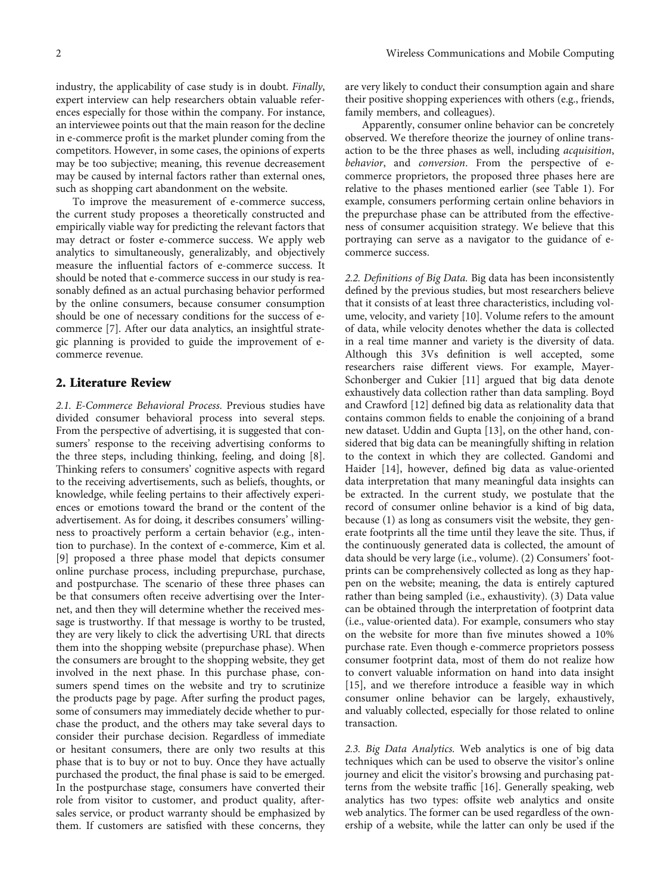industry, the applicability of case study is in doubt. Finally, expert interview can help researchers obtain valuable references especially for those within the company. For instance, an interviewee points out that the main reason for the decline in e-commerce profit is the market plunder coming from the competitors. However, in some cases, the opinions of experts may be too subjective; meaning, this revenue decreasement may be caused by internal factors rather than external ones, such as shopping cart abandonment on the website.

To improve the measurement of e-commerce success, the current study proposes a theoretically constructed and empirically viable way for predicting the relevant factors that may detract or foster e-commerce success. We apply web analytics to simultaneously, generalizably, and objectively measure the influential factors of e-commerce success. It should be noted that e-commerce success in our study is reasonably defined as an actual purchasing behavior performed by the online consumers, because consumer consumption should be one of necessary conditions for the success of ecommerce [\[7\]](#page-7-0). After our data analytics, an insightful strategic planning is provided to guide the improvement of ecommerce revenue.

#### 2. Literature Review

2.1. E-Commerce Behavioral Process. Previous studies have divided consumer behavioral process into several steps. From the perspective of advertising, it is suggested that consumers' response to the receiving advertising conforms to the three steps, including thinking, feeling, and doing [[8](#page-7-0)]. Thinking refers to consumers' cognitive aspects with regard to the receiving advertisements, such as beliefs, thoughts, or knowledge, while feeling pertains to their affectively experiences or emotions toward the brand or the content of the advertisement. As for doing, it describes consumers' willingness to proactively perform a certain behavior (e.g., intention to purchase). In the context of e-commerce, Kim et al. [\[9](#page-7-0)] proposed a three phase model that depicts consumer online purchase process, including prepurchase, purchase, and postpurchase. The scenario of these three phases can be that consumers often receive advertising over the Internet, and then they will determine whether the received message is trustworthy. If that message is worthy to be trusted, they are very likely to click the advertising URL that directs them into the shopping website (prepurchase phase). When the consumers are brought to the shopping website, they get involved in the next phase. In this purchase phase, consumers spend times on the website and try to scrutinize the products page by page. After surfing the product pages, some of consumers may immediately decide whether to purchase the product, and the others may take several days to consider their purchase decision. Regardless of immediate or hesitant consumers, there are only two results at this phase that is to buy or not to buy. Once they have actually purchased the product, the final phase is said to be emerged. In the postpurchase stage, consumers have converted their role from visitor to customer, and product quality, aftersales service, or product warranty should be emphasized by them. If customers are satisfied with these concerns, they are very likely to conduct their consumption again and share their positive shopping experiences with others (e.g., friends, family members, and colleagues).

Apparently, consumer online behavior can be concretely observed. We therefore theorize the journey of online transaction to be the three phases as well, including acquisition, behavior, and conversion. From the perspective of ecommerce proprietors, the proposed three phases here are relative to the phases mentioned earlier (see Table [1\)](#page-2-0). For example, consumers performing certain online behaviors in the prepurchase phase can be attributed from the effectiveness of consumer acquisition strategy. We believe that this portraying can serve as a navigator to the guidance of ecommerce success.

2.2. Definitions of Big Data. Big data has been inconsistently defined by the previous studies, but most researchers believe that it consists of at least three characteristics, including volume, velocity, and variety [[10](#page-7-0)]. Volume refers to the amount of data, while velocity denotes whether the data is collected in a real time manner and variety is the diversity of data. Although this 3Vs definition is well accepted, some researchers raise different views. For example, Mayer-Schonberger and Cukier [[11\]](#page-7-0) argued that big data denote exhaustively data collection rather than data sampling. Boyd and Crawford [[12\]](#page-7-0) defined big data as relationality data that contains common fields to enable the conjoining of a brand new dataset. Uddin and Gupta [\[13\]](#page-7-0), on the other hand, considered that big data can be meaningfully shifting in relation to the context in which they are collected. Gandomi and Haider [\[14\]](#page-7-0), however, defined big data as value-oriented data interpretation that many meaningful data insights can be extracted. In the current study, we postulate that the record of consumer online behavior is a kind of big data, because (1) as long as consumers visit the website, they generate footprints all the time until they leave the site. Thus, if the continuously generated data is collected, the amount of data should be very large (i.e., volume). (2) Consumers' footprints can be comprehensively collected as long as they happen on the website; meaning, the data is entirely captured rather than being sampled (i.e., exhaustivity). (3) Data value can be obtained through the interpretation of footprint data (i.e., value-oriented data). For example, consumers who stay on the website for more than five minutes showed a 10% purchase rate. Even though e-commerce proprietors possess consumer footprint data, most of them do not realize how to convert valuable information on hand into data insight [\[15\]](#page-7-0), and we therefore introduce a feasible way in which consumer online behavior can be largely, exhaustively, and valuably collected, especially for those related to online transaction.

2.3. Big Data Analytics. Web analytics is one of big data techniques which can be used to observe the visitor's online journey and elicit the visitor's browsing and purchasing patterns from the website traffic [\[16](#page-7-0)]. Generally speaking, web analytics has two types: offsite web analytics and onsite web analytics. The former can be used regardless of the ownership of a website, while the latter can only be used if the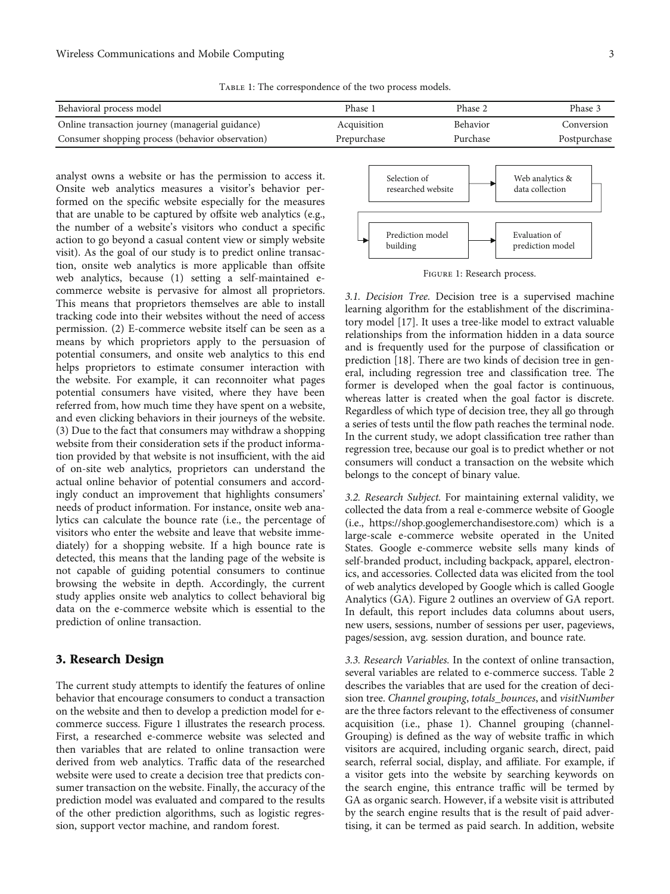Table 1: The correspondence of the two process models.

<span id="page-2-0"></span>

| Behavioral process model                         | Phase 1     | Phase 2         | Phase 3      |
|--------------------------------------------------|-------------|-----------------|--------------|
| Online transaction journey (managerial guidance) | Acquisition | <b>Behavior</b> | Conversion   |
| Consumer shopping process (behavior observation) | Prepurchase | Purchase        | Postpurchase |

analyst owns a website or has the permission to access it. Onsite web analytics measures a visitor's behavior performed on the specific website especially for the measures that are unable to be captured by offsite web analytics (e.g., the number of a website's visitors who conduct a specific action to go beyond a casual content view or simply website visit). As the goal of our study is to predict online transaction, onsite web analytics is more applicable than offsite web analytics, because (1) setting a self-maintained ecommerce website is pervasive for almost all proprietors. This means that proprietors themselves are able to install tracking code into their websites without the need of access permission. (2) E-commerce website itself can be seen as a means by which proprietors apply to the persuasion of potential consumers, and onsite web analytics to this end helps proprietors to estimate consumer interaction with the website. For example, it can reconnoiter what pages potential consumers have visited, where they have been referred from, how much time they have spent on a website, and even clicking behaviors in their journeys of the website. (3) Due to the fact that consumers may withdraw a shopping website from their consideration sets if the product information provided by that website is not insufficient, with the aid of on-site web analytics, proprietors can understand the actual online behavior of potential consumers and accordingly conduct an improvement that highlights consumers' needs of product information. For instance, onsite web analytics can calculate the bounce rate (i.e., the percentage of visitors who enter the website and leave that website immediately) for a shopping website. If a high bounce rate is detected, this means that the landing page of the website is not capable of guiding potential consumers to continue browsing the website in depth. Accordingly, the current study applies onsite web analytics to collect behavioral big data on the e-commerce website which is essential to the prediction of online transaction.

#### 3. Research Design

The current study attempts to identify the features of online behavior that encourage consumers to conduct a transaction on the website and then to develop a prediction model for ecommerce success. Figure 1 illustrates the research process. First, a researched e-commerce website was selected and then variables that are related to online transaction were derived from web analytics. Traffic data of the researched website were used to create a decision tree that predicts consumer transaction on the website. Finally, the accuracy of the prediction model was evaluated and compared to the results of the other prediction algorithms, such as logistic regression, support vector machine, and random forest.



Figure 1: Research process.

3.1. Decision Tree. Decision tree is a supervised machine learning algorithm for the establishment of the discriminatory model [\[17\]](#page-7-0). It uses a tree-like model to extract valuable relationships from the information hidden in a data source and is frequently used for the purpose of classification or prediction [\[18\]](#page-7-0). There are two kinds of decision tree in general, including regression tree and classification tree. The former is developed when the goal factor is continuous, whereas latter is created when the goal factor is discrete. Regardless of which type of decision tree, they all go through a series of tests until the flow path reaches the terminal node. In the current study, we adopt classification tree rather than regression tree, because our goal is to predict whether or not consumers will conduct a transaction on the website which belongs to the concept of binary value.

3.2. Research Subject. For maintaining external validity, we collected the data from a real e-commerce website of Google (i.e., [https://shop.googlemerchandisestore.com\)](https://shop.googlemerchandisestore.com) which is a large-scale e-commerce website operated in the United States. Google e-commerce website sells many kinds of self-branded product, including backpack, apparel, electronics, and accessories. Collected data was elicited from the tool of web analytics developed by Google which is called Google Analytics (GA). Figure [2](#page-3-0) outlines an overview of GA report. In default, this report includes data columns about users, new users, sessions, number of sessions per user, pageviews, pages/session, avg. session duration, and bounce rate.

3.3. Research Variables. In the context of online transaction, several variables are related to e-commerce success. Table [2](#page-4-0) describes the variables that are used for the creation of decision tree. Channel grouping, totals\_bounces, and visitNumber are the three factors relevant to the effectiveness of consumer acquisition (i.e., phase 1). Channel grouping (channel-Grouping) is defined as the way of website traffic in which visitors are acquired, including organic search, direct, paid search, referral social, display, and affiliate. For example, if a visitor gets into the website by searching keywords on the search engine, this entrance traffic will be termed by GA as organic search. However, if a website visit is attributed by the search engine results that is the result of paid advertising, it can be termed as paid search. In addition, website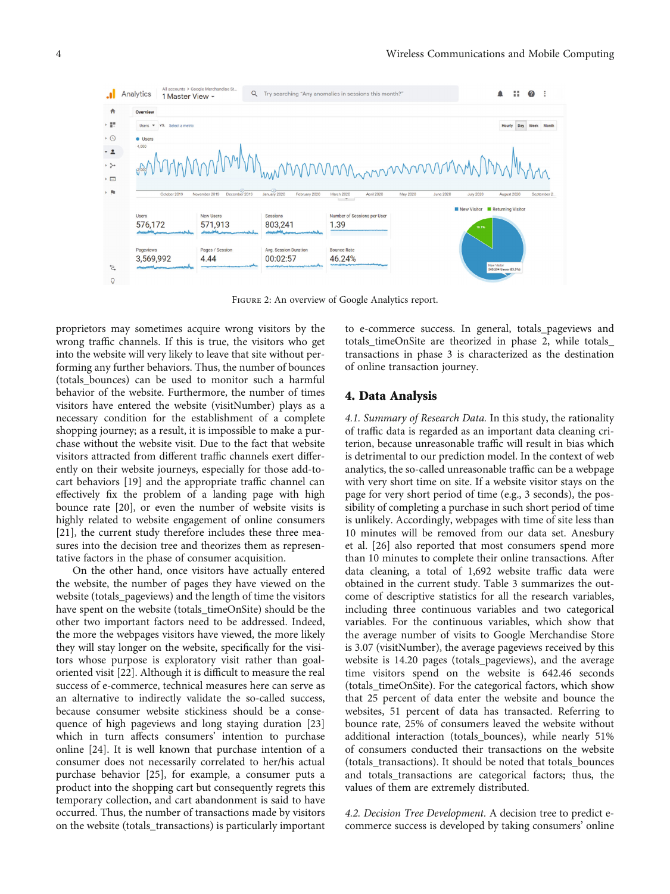<span id="page-3-0"></span>

Figure 2: An overview of Google Analytics report.

proprietors may sometimes acquire wrong visitors by the wrong traffic channels. If this is true, the visitors who get into the website will very likely to leave that site without performing any further behaviors. Thus, the number of bounces (totals\_bounces) can be used to monitor such a harmful behavior of the website. Furthermore, the number of times visitors have entered the website (visitNumber) plays as a necessary condition for the establishment of a complete shopping journey; as a result, it is impossible to make a purchase without the website visit. Due to the fact that website visitors attracted from different traffic channels exert differently on their website journeys, especially for those add-tocart behaviors [\[19\]](#page-7-0) and the appropriate traffic channel can effectively fix the problem of a landing page with high bounce rate [\[20\]](#page-8-0), or even the number of website visits is highly related to website engagement of online consumers [\[21](#page-8-0)], the current study therefore includes these three measures into the decision tree and theorizes them as representative factors in the phase of consumer acquisition.

On the other hand, once visitors have actually entered the website, the number of pages they have viewed on the website (totals\_pageviews) and the length of time the visitors have spent on the website (totals\_timeOnSite) should be the other two important factors need to be addressed. Indeed, the more the webpages visitors have viewed, the more likely they will stay longer on the website, specifically for the visitors whose purpose is exploratory visit rather than goaloriented visit [[22](#page-8-0)]. Although it is difficult to measure the real success of e-commerce, technical measures here can serve as an alternative to indirectly validate the so-called success, because consumer website stickiness should be a consequence of high pageviews and long staying duration [[23\]](#page-8-0) which in turn affects consumers' intention to purchase online [[24](#page-8-0)]. It is well known that purchase intention of a consumer does not necessarily correlated to her/his actual purchase behavior [[25](#page-8-0)], for example, a consumer puts a product into the shopping cart but consequently regrets this temporary collection, and cart abandonment is said to have occurred. Thus, the number of transactions made by visitors on the website (totals\_transactions) is particularly important

to e-commerce success. In general, totals\_pageviews and totals\_timeOnSite are theorized in phase 2, while totals\_ transactions in phase 3 is characterized as the destination of online transaction journey.

#### 4. Data Analysis

4.1. Summary of Research Data. In this study, the rationality of traffic data is regarded as an important data cleaning criterion, because unreasonable traffic will result in bias which is detrimental to our prediction model. In the context of web analytics, the so-called unreasonable traffic can be a webpage with very short time on site. If a website visitor stays on the page for very short period of time (e.g., 3 seconds), the possibility of completing a purchase in such short period of time is unlikely. Accordingly, webpages with time of site less than 10 minutes will be removed from our data set. Anesbury et al. [[26](#page-8-0)] also reported that most consumers spend more than 10 minutes to complete their online transactions. After data cleaning, a total of 1,692 website traffic data were obtained in the current study. Table [3](#page-4-0) summarizes the outcome of descriptive statistics for all the research variables, including three continuous variables and two categorical variables. For the continuous variables, which show that the average number of visits to Google Merchandise Store is 3.07 (visitNumber), the average pageviews received by this website is 14.20 pages (totals\_pageviews), and the average time visitors spend on the website is 642.46 seconds (totals\_timeOnSite). For the categorical factors, which show that 25 percent of data enter the website and bounce the websites, 51 percent of data has transacted. Referring to bounce rate, 25% of consumers leaved the website without additional interaction (totals\_bounces), while nearly 51% of consumers conducted their transactions on the website (totals\_transactions). It should be noted that totals\_bounces and totals transactions are categorical factors; thus, the values of them are extremely distributed.

4.2. Decision Tree Development. A decision tree to predict ecommerce success is developed by taking consumers' online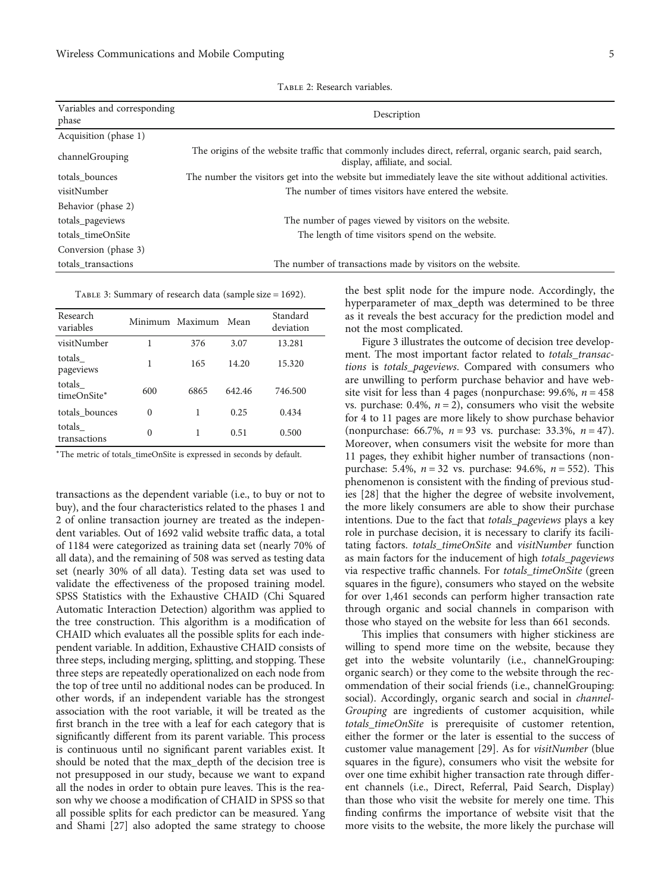<span id="page-4-0"></span>

| Variables and corresponding<br>phase | Description                                                                                                                                 |  |  |  |
|--------------------------------------|---------------------------------------------------------------------------------------------------------------------------------------------|--|--|--|
| Acquisition (phase 1)                |                                                                                                                                             |  |  |  |
| channelGrouping                      | The origins of the website traffic that commonly includes direct, referral, organic search, paid search,<br>display, affiliate, and social. |  |  |  |
| totals bounces                       | The number the visitors get into the website but immediately leave the site without additional activities.                                  |  |  |  |
| visitNumber                          | The number of times visitors have entered the website.                                                                                      |  |  |  |
| Behavior (phase 2)                   |                                                                                                                                             |  |  |  |
| totals_pageviews                     | The number of pages viewed by visitors on the website.                                                                                      |  |  |  |
| totals timeOnSite                    | The length of time visitors spend on the website.                                                                                           |  |  |  |
| Conversion (phase 3)                 |                                                                                                                                             |  |  |  |
| totals transactions                  | The number of transactions made by visitors on the website.                                                                                 |  |  |  |

Table 2: Research variables.

Table 3: Summary of research data (sample size = 1692).

| Research<br>variables  |          | Minimum Maximum | Mean   | Standard<br>deviation |
|------------------------|----------|-----------------|--------|-----------------------|
| visitNumber            | 1        | 376             | 3.07   | 13.281                |
| totals<br>pageviews    | 1        | 165             | 14.20  | 15.320                |
| totals<br>timeOnSite*  | 600      | 6865            | 642.46 | 746.500               |
| totals bounces         | $\theta$ | 1               | 0.25   | 0.434                 |
| totals<br>transactions | $\theta$ | 1               | 0.51   | 0.500                 |

<sup>∗</sup>The metric of totals\_timeOnSite is expressed in seconds by default.

transactions as the dependent variable (i.e., to buy or not to buy), and the four characteristics related to the phases 1 and 2 of online transaction journey are treated as the independent variables. Out of 1692 valid website traffic data, a total of 1184 were categorized as training data set (nearly 70% of all data), and the remaining of 508 was served as testing data set (nearly 30% of all data). Testing data set was used to validate the effectiveness of the proposed training model. SPSS Statistics with the Exhaustive CHAID (Chi Squared Automatic Interaction Detection) algorithm was applied to the tree construction. This algorithm is a modification of CHAID which evaluates all the possible splits for each independent variable. In addition, Exhaustive CHAID consists of three steps, including merging, splitting, and stopping. These three steps are repeatedly operationalized on each node from the top of tree until no additional nodes can be produced. In other words, if an independent variable has the strongest association with the root variable, it will be treated as the first branch in the tree with a leaf for each category that is significantly different from its parent variable. This process is continuous until no significant parent variables exist. It should be noted that the max\_depth of the decision tree is not presupposed in our study, because we want to expand all the nodes in order to obtain pure leaves. This is the reason why we choose a modification of CHAID in SPSS so that all possible splits for each predictor can be measured. Yang and Shami [[27](#page-8-0)] also adopted the same strategy to choose

the best split node for the impure node. Accordingly, the hyperparameter of max\_depth was determined to be three as it reveals the best accuracy for the prediction model and not the most complicated.

Figure [3](#page-5-0) illustrates the outcome of decision tree development. The most important factor related to totals\_transactions is totals\_pageviews. Compared with consumers who are unwilling to perform purchase behavior and have website visit for less than 4 pages (nonpurchase:  $99.6\%$ ,  $n = 458$ vs. purchase:  $0.4\%$ ,  $n = 2$ ), consumers who visit the website for 4 to 11 pages are more likely to show purchase behavior (nonpurchase: 66.7%, *n* = 93 vs. purchase: 33.3%, *n* = 47). Moreover, when consumers visit the website for more than 11 pages, they exhibit higher number of transactions (nonpurchase: 5.4%, *n* = 32 vs. purchase: 94.6%, *n* = 552). This phenomenon is consistent with the finding of previous studies [\[28](#page-8-0)] that the higher the degree of website involvement, the more likely consumers are able to show their purchase intentions. Due to the fact that totals\_pageviews plays a key role in purchase decision, it is necessary to clarify its facilitating factors. totals\_timeOnSite and visitNumber function as main factors for the inducement of high totals\_pageviews via respective traffic channels. For totals\_timeOnSite (green squares in the figure), consumers who stayed on the website for over 1,461 seconds can perform higher transaction rate through organic and social channels in comparison with those who stayed on the website for less than 661 seconds.

This implies that consumers with higher stickiness are willing to spend more time on the website, because they get into the website voluntarily (i.e., channelGrouping: organic search) or they come to the website through the recommendation of their social friends (i.e., channelGrouping: social). Accordingly, organic search and social in channel-Grouping are ingredients of customer acquisition, while totals timeOnSite is prerequisite of customer retention, either the former or the later is essential to the success of customer value management [\[29\]](#page-8-0). As for visitNumber (blue squares in the figure), consumers who visit the website for over one time exhibit higher transaction rate through different channels (i.e., Direct, Referral, Paid Search, Display) than those who visit the website for merely one time. This finding confirms the importance of website visit that the more visits to the website, the more likely the purchase will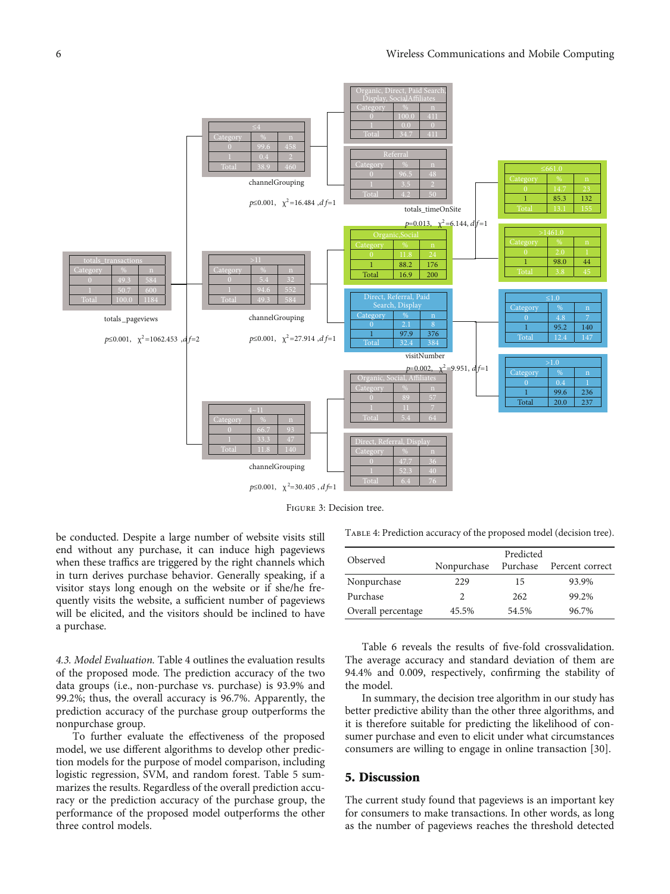<span id="page-5-0"></span>

Figure 3: Decision tree.

be conducted. Despite a large number of website visits still end without any purchase, it can induce high pageviews when these traffics are triggered by the right channels which in turn derives purchase behavior. Generally speaking, if a visitor stays long enough on the website or if she/he frequently visits the website, a sufficient number of pageviews will be elicited, and the visitors should be inclined to have a purchase.

4.3. Model Evaluation. Table 4 outlines the evaluation results of the proposed mode. The prediction accuracy of the two data groups (i.e., non-purchase vs. purchase) is 93.9% and 99.2%; thus, the overall accuracy is 96.7%. Apparently, the prediction accuracy of the purchase group outperforms the nonpurchase group.

To further evaluate the effectiveness of the proposed model, we use different algorithms to develop other prediction models for the purpose of model comparison, including logistic regression, SVM, and random forest. Table [5](#page-6-0) summarizes the results. Regardless of the overall prediction accuracy or the prediction accuracy of the purchase group, the performance of the proposed model outperforms the other three control models.

Table 4: Prediction accuracy of the proposed model (decision tree).

| Observed           | Predicted<br>Nonpurchase<br>Purchase<br>Percent correct |       |       |  |
|--------------------|---------------------------------------------------------|-------|-------|--|
| Nonpurchase        | 229                                                     | 15    | 93.9% |  |
| Purchase           | $\mathfrak{D}$                                          | 262   | 99.2% |  |
| Overall percentage | 45.5%                                                   | 54.5% | 96.7% |  |

Table [6](#page-6-0) reveals the results of five-fold crossvalidation. The average accuracy and standard deviation of them are 94.4% and 0.009, respectively, confirming the stability of the model.

In summary, the decision tree algorithm in our study has better predictive ability than the other three algorithms, and it is therefore suitable for predicting the likelihood of consumer purchase and even to elicit under what circumstances consumers are willing to engage in online transaction [[30\]](#page-8-0).

#### 5. Discussion

The current study found that pageviews is an important key for consumers to make transactions. In other words, as long as the number of pageviews reaches the threshold detected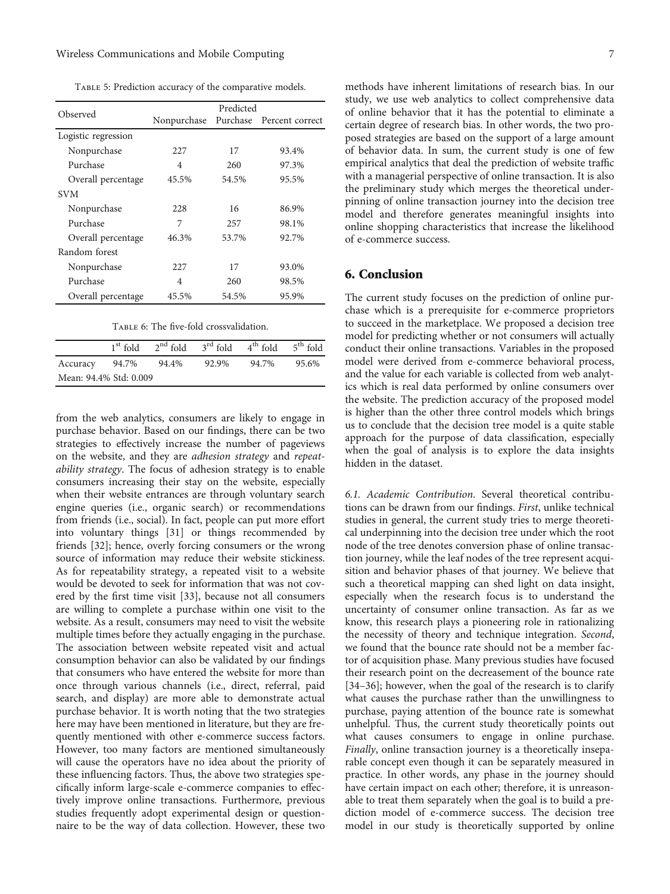<span id="page-6-0"></span>Table 5: Prediction accuracy of the comparative models.

|                     | Predicted   |          |                 |  |
|---------------------|-------------|----------|-----------------|--|
| Observed            | Nonpurchase | Purchase | Percent correct |  |
| Logistic regression |             |          |                 |  |
| Nonpurchase         | 227         | 17       | 93.4%           |  |
| Purchase            | 4           | 260      | 97.3%           |  |
| Overall percentage  | 45.5%       | 54.5%    | 95.5%           |  |
| <b>SVM</b>          |             |          |                 |  |
| Nonpurchase         | 228         | 16       | 86.9%           |  |
| Purchase            | 7           | 257      | 98.1%           |  |
| Overall percentage  | 46.3%       | 53.7%    | 92.7%           |  |
| Random forest       |             |          |                 |  |
| Nonpurchase         | 227         | 17       | 93.0%           |  |
| Purchase            | 4           | 260      | 98.5%           |  |
| Overall percentage  | 45.5%       | 54.5%    | 95.9%           |  |

|  |  | TABLE 6: The five-fold crossvalidation. |
|--|--|-----------------------------------------|
|  |  |                                         |

|                        | $1st$ fold $2nd$ fold $3rd$ fold $4th$ fold $5th$ fold |       |       |       |
|------------------------|--------------------------------------------------------|-------|-------|-------|
| Accuracy 94.7%         | 94.4%                                                  | 92.9% | 94.7% | 95.6% |
| Mean: 94.4% Std: 0.009 |                                                        |       |       |       |

from the web analytics, consumers are likely to engage in purchase behavior. Based on our findings, there can be two strategies to effectively increase the number of pageviews on the website, and they are adhesion strategy and repeatability strategy. The focus of adhesion strategy is to enable consumers increasing their stay on the website, especially when their website entrances are through voluntary search engine queries (i.e., organic search) or recommendations from friends (i.e., social). In fact, people can put more effort into voluntary things [[31](#page-8-0)] or things recommended by friends [\[32\]](#page-8-0); hence, overly forcing consumers or the wrong source of information may reduce their website stickiness. As for repeatability strategy, a repeated visit to a website would be devoted to seek for information that was not covered by the first time visit [[33](#page-8-0)], because not all consumers are willing to complete a purchase within one visit to the website. As a result, consumers may need to visit the website multiple times before they actually engaging in the purchase. The association between website repeated visit and actual consumption behavior can also be validated by our findings that consumers who have entered the website for more than once through various channels (i.e., direct, referral, paid search, and display) are more able to demonstrate actual purchase behavior. It is worth noting that the two strategies here may have been mentioned in literature, but they are frequently mentioned with other e-commerce success factors. However, too many factors are mentioned simultaneously will cause the operators have no idea about the priority of these influencing factors. Thus, the above two strategies specifically inform large-scale e-commerce companies to effectively improve online transactions. Furthermore, previous studies frequently adopt experimental design or questionnaire to be the way of data collection. However, these two

methods have inherent limitations of research bias. In our study, we use web analytics to collect comprehensive data of online behavior that it has the potential to eliminate a certain degree of research bias. In other words, the two proposed strategies are based on the support of a large amount of behavior data. In sum, the current study is one of few empirical analytics that deal the prediction of website traffic with a managerial perspective of online transaction. It is also the preliminary study which merges the theoretical underpinning of online transaction journey into the decision tree model and therefore generates meaningful insights into online shopping characteristics that increase the likelihood of e-commerce success.

#### 6. Conclusion

The current study focuses on the prediction of online purchase which is a prerequisite for e-commerce proprietors to succeed in the marketplace. We proposed a decision tree model for predicting whether or not consumers will actually conduct their online transactions. Variables in the proposed model were derived from e-commerce behavioral process, and the value for each variable is collected from web analytics which is real data performed by online consumers over the website. The prediction accuracy of the proposed model is higher than the other three control models which brings us to conclude that the decision tree model is a quite stable approach for the purpose of data classification, especially when the goal of analysis is to explore the data insights hidden in the dataset.

6.1. Academic Contribution. Several theoretical contributions can be drawn from our findings. First, unlike technical studies in general, the current study tries to merge theoretical underpinning into the decision tree under which the root node of the tree denotes conversion phase of online transaction journey, while the leaf nodes of the tree represent acquisition and behavior phases of that journey. We believe that such a theoretical mapping can shed light on data insight, especially when the research focus is to understand the uncertainty of consumer online transaction. As far as we know, this research plays a pioneering role in rationalizing the necessity of theory and technique integration. Second, we found that the bounce rate should not be a member factor of acquisition phase. Many previous studies have focused their research point on the decreasement of the bounce rate [\[34](#page-8-0)–[36\]](#page-8-0); however, when the goal of the research is to clarify what causes the purchase rather than the unwillingness to purchase, paying attention of the bounce rate is somewhat unhelpful. Thus, the current study theoretically points out what causes consumers to engage in online purchase. Finally, online transaction journey is a theoretically inseparable concept even though it can be separately measured in practice. In other words, any phase in the journey should have certain impact on each other; therefore, it is unreasonable to treat them separately when the goal is to build a prediction model of e-commerce success. The decision tree model in our study is theoretically supported by online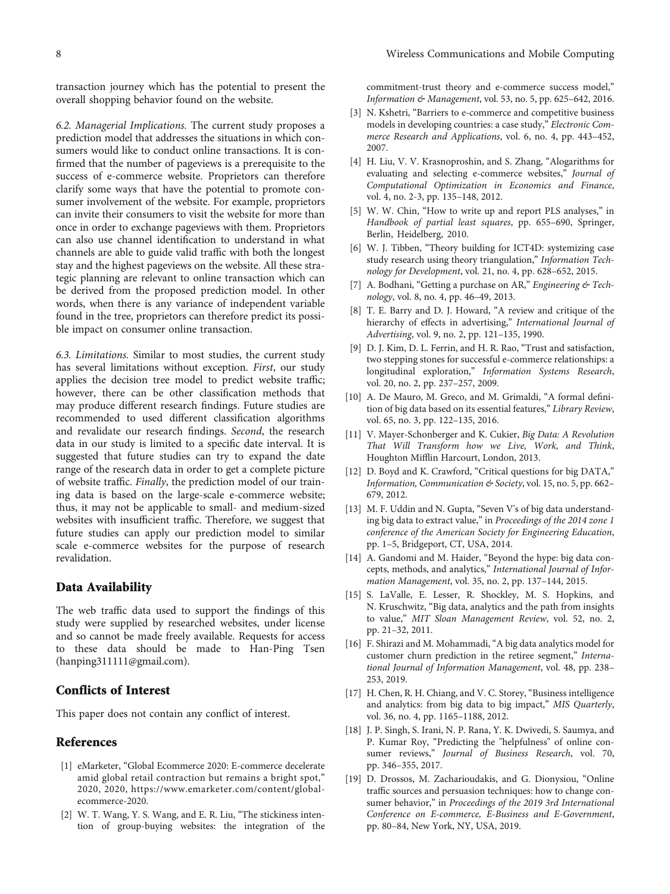<span id="page-7-0"></span>transaction journey which has the potential to present the overall shopping behavior found on the website.

6.2. Managerial Implications. The current study proposes a prediction model that addresses the situations in which consumers would like to conduct online transactions. It is confirmed that the number of pageviews is a prerequisite to the success of e-commerce website. Proprietors can therefore clarify some ways that have the potential to promote consumer involvement of the website. For example, proprietors can invite their consumers to visit the website for more than once in order to exchange pageviews with them. Proprietors can also use channel identification to understand in what channels are able to guide valid traffic with both the longest stay and the highest pageviews on the website. All these strategic planning are relevant to online transaction which can be derived from the proposed prediction model. In other words, when there is any variance of independent variable found in the tree, proprietors can therefore predict its possible impact on consumer online transaction.

6.3. Limitations. Similar to most studies, the current study has several limitations without exception. First, our study applies the decision tree model to predict website traffic; however, there can be other classification methods that may produce different research findings. Future studies are recommended to used different classification algorithms and revalidate our research findings. Second, the research data in our study is limited to a specific date interval. It is suggested that future studies can try to expand the date range of the research data in order to get a complete picture of website traffic. Finally, the prediction model of our training data is based on the large-scale e-commerce website; thus, it may not be applicable to small- and medium-sized websites with insufficient traffic. Therefore, we suggest that future studies can apply our prediction model to similar scale e-commerce websites for the purpose of research revalidation.

#### Data Availability

The web traffic data used to support the findings of this study were supplied by researched websites, under license and so cannot be made freely available. Requests for access to these data should be made to Han-Ping Tsen (hanping311111@gmail.com).

#### Conflicts of Interest

This paper does not contain any conflict of interest.

#### **References**

- [1] eMarketer, "Global Ecommerce 2020: E-commerce decelerate amid global retail contraction but remains a bright spot," 2020, 2020, [https://www.emarketer.com/content/global](https://www.emarketer.com/content/global-ecommerce-2020)[ecommerce-2020.](https://www.emarketer.com/content/global-ecommerce-2020)
- [2] W. T. Wang, Y. S. Wang, and E. R. Liu, "The stickiness intention of group-buying websites: the integration of the

commitment-trust theory and e-commerce success model," Information & Management, vol. 53, no. 5, pp. 625–642, 2016.

- [3] N. Kshetri, "Barriers to e-commerce and competitive business models in developing countries: a case study," Electronic Commerce Research and Applications, vol. 6, no. 4, pp. 443–452, 2007.
- [4] H. Liu, V. V. Krasnoproshin, and S. Zhang, "Alogarithms for evaluating and selecting e-commerce websites," Journal of Computational Optimization in Economics and Finance, vol. 4, no. 2-3, pp. 135–148, 2012.
- [5] W. W. Chin, "How to write up and report PLS analyses," in Handbook of partial least squares, pp. 655–690, Springer, Berlin, Heidelberg, 2010.
- [6] W. J. Tibben, "Theory building for ICT4D: systemizing case study research using theory triangulation," Information Technology for Development, vol. 21, no. 4, pp. 628–652, 2015.
- [7] A. Bodhani, "Getting a purchase on AR," Engineering & Technology, vol. 8, no. 4, pp. 46–49, 2013.
- [8] T. E. Barry and D. J. Howard, "A review and critique of the hierarchy of effects in advertising," International Journal of Advertising, vol. 9, no. 2, pp. 121–135, 1990.
- [9] D. J. Kim, D. L. Ferrin, and H. R. Rao, "Trust and satisfaction, two stepping stones for successful e-commerce relationships: a longitudinal exploration," Information Systems Research, vol. 20, no. 2, pp. 237–257, 2009.
- [10] A. De Mauro, M. Greco, and M. Grimaldi, "A formal definition of big data based on its essential features," Library Review, vol. 65, no. 3, pp. 122–135, 2016.
- [11] V. Mayer-Schonberger and K. Cukier, Big Data: A Revolution That Will Transform how we Live, Work, and Think, Houghton Mifflin Harcourt, London, 2013.
- [12] D. Boyd and K. Crawford, "Critical questions for big DATA," Information, Communication & Society, vol. 15, no. 5, pp. 662– 679, 2012.
- [13] M. F. Uddin and N. Gupta, "Seven V's of big data understanding big data to extract value," in Proceedings of the 2014 zone 1 conference of the American Society for Engineering Education, pp. 1–5, Bridgeport, CT, USA, 2014.
- [14] A. Gandomi and M. Haider, "Beyond the hype: big data concepts, methods, and analytics," International Journal of Information Management, vol. 35, no. 2, pp. 137–144, 2015.
- [15] S. LaValle, E. Lesser, R. Shockley, M. S. Hopkins, and N. Kruschwitz, "Big data, analytics and the path from insights to value," MIT Sloan Management Review, vol. 52, no. 2, pp. 21–32, 2011.
- [16] F. Shirazi and M. Mohammadi, "A big data analytics model for customer churn prediction in the retiree segment," International Journal of Information Management, vol. 48, pp. 238– 253, 2019.
- [17] H. Chen, R. H. Chiang, and V. C. Storey, "Business intelligence and analytics: from big data to big impact," MIS Quarterly, vol. 36, no. 4, pp. 1165–1188, 2012.
- [18] J. P. Singh, S. Irani, N. P. Rana, Y. K. Dwivedi, S. Saumya, and P. Kumar Roy, "Predicting the "helpfulness" of online consumer reviews," Journal of Business Research, vol. 70, pp. 346–355, 2017.
- [19] D. Drossos, M. Zacharioudakis, and G. Dionysiou, "Online traffic sources and persuasion techniques: how to change consumer behavior," in Proceedings of the 2019 3rd International Conference on E-commerce, E-Business and E-Government, pp. 80–84, New York, NY, USA, 2019.